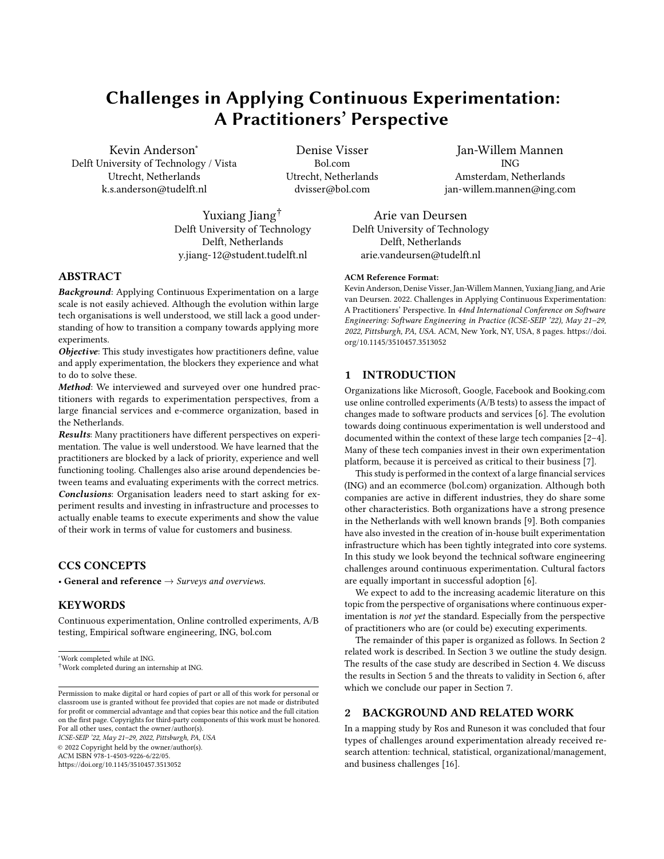# Challenges in Applying Continuous Experimentation: A Practitioners' Perspective

Kevin Anderson<sup>∗</sup> Delft University of Technology / Vista Utrecht, Netherlands k.s.anderson@tudelft.nl

Denise Visser Bol.com Utrecht, Netherlands dvisser@bol.com

Yuxiang Jiang<sup>†</sup> Delft University of Technology Delft, Netherlands y.jiang-12@student.tudelft.nl

Jan-Willem Mannen ING Amsterdam, Netherlands jan-willem.mannen@ing.com

Arie van Deursen Delft University of Technology Delft, Netherlands arie.vandeursen@tudelft.nl

## ABSTRACT

Background: Applying Continuous Experimentation on a large scale is not easily achieved. Although the evolution within large tech organisations is well understood, we still lack a good understanding of how to transition a company towards applying more experiments.

Objective: This study investigates how practitioners define, value and apply experimentation, the blockers they experience and what to do to solve these.

Method: We interviewed and surveyed over one hundred practitioners with regards to experimentation perspectives, from a large financial services and e-commerce organization, based in the Netherlands.

Results: Many practitioners have different perspectives on experimentation. The value is well understood. We have learned that the practitioners are blocked by a lack of priority, experience and well functioning tooling. Challenges also arise around dependencies between teams and evaluating experiments with the correct metrics. Conclusions: Organisation leaders need to start asking for experiment results and investing in infrastructure and processes to actually enable teams to execute experiments and show the value of their work in terms of value for customers and business.

## CCS CONCEPTS

• General and reference  $\rightarrow$  Surveys and overviews.

## **KEYWORDS**

Continuous experimentation, Online controlled experiments, A/B testing, Empirical software engineering, ING, bol.com

ICSE-SEIP '22, May 21-29, 2022, Pittsburgh, PA, USA

© 2022 Copyright held by the owner/author(s).

ACM ISBN 978-1-4503-9226-6/22/05.

<https://doi.org/10.1145/3510457.3513052>

## 1 INTRODUCTION

[org/10.1145/3510457.3513052](https://doi.org/10.1145/3510457.3513052)

ACM Reference Format:

Organizations like Microsoft, Google, Facebook and Booking.com use online controlled experiments (A/B tests) to assess the impact of changes made to software products and services [\[6\]](#page-6-0). The evolution towards doing continuous experimentation is well understood and documented within the context of these large tech companies  $[2-4]$  $[2-4]$ . Many of these tech companies invest in their own experimentation platform, because it is perceived as critical to their business [\[7\]](#page-6-3).

Kevin Anderson, Denise Visser, Jan-Willem Mannen, Yuxiang Jiang, and Arie van Deursen. 2022. Challenges in Applying Continuous Experimentation: A Practitioners' Perspective. In 44nd International Conference on Software Engineering: Software Engineering in Practice (ICSE-SEIP '22), May 21-29, 2022, Pittsburgh, PA, USA. ACM, New York, NY, USA, [8](#page-7-0) pages. [https://doi.](https://doi.org/10.1145/3510457.3513052)

This study is performed in the context of a large financial services (ING) and an ecommerce (bol.com) organization. Although both companies are active in different industries, they do share some other characteristics. Both organizations have a strong presence in the Netherlands with well known brands [\[9\]](#page-6-4). Both companies have also invested in the creation of in-house built experimentation infrastructure which has been tightly integrated into core systems. In this study we look beyond the technical software engineering challenges around continuous experimentation. Cultural factors are equally important in successful adoption [\[6\]](#page-6-0).

We expect to add to the increasing academic literature on this topic from the perspective of organisations where continuous experimentation is not yet the standard. Especially from the perspective of practitioners who are (or could be) executing experiments.

The remainder of this paper is organized as follows. In Section [2](#page-0-0) related work is described. In Section [3](#page-1-0) we outline the study design. The results of the case study are described in Section [4.](#page-2-0) We discuss the results in Section [5](#page-4-0) and the threats to validity in Section [6,](#page-5-0) after which we conclude our paper in Section [7.](#page-5-1)

### <span id="page-0-0"></span>2 BACKGROUND AND RELATED WORK

In a mapping study by Ros and Runeson it was concluded that four types of challenges around experimentation already received research attention: technical, statistical, organizational/management, and business challenges [\[16\]](#page-6-5).

<sup>∗</sup>Work completed while at ING.

 $\dagger$ Work completed during an internship at ING.

Permission to make digital or hard copies of part or all of this work for personal or classroom use is granted without fee provided that copies are not made or distributed for profit or commercial advantage and that copies bear this notice and the full citation on the first page. Copyrights for third-party components of this work must be honored. For all other uses, contact the owner/author(s).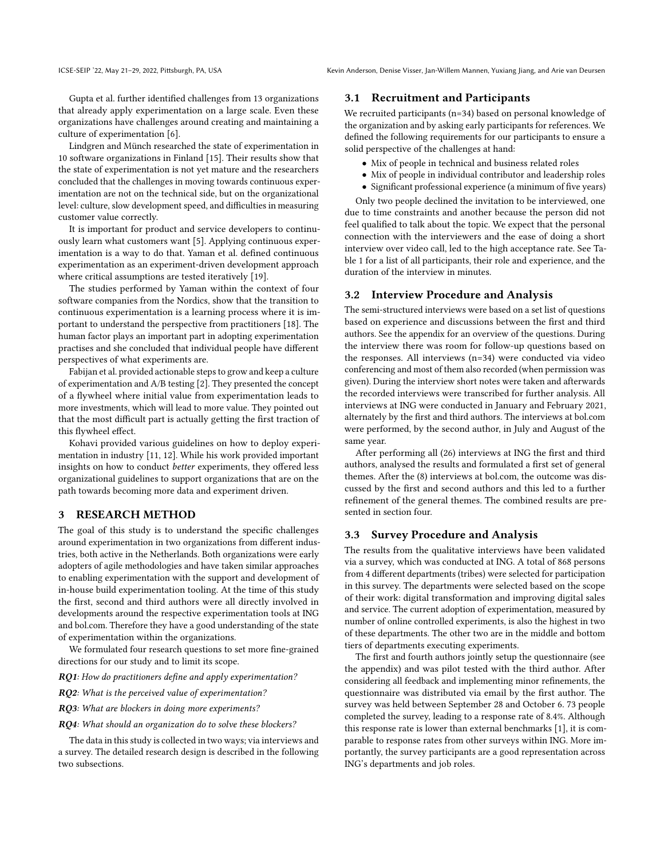Gupta et al. further identified challenges from 13 organizations that already apply experimentation on a large scale. Even these organizations have challenges around creating and maintaining a culture of experimentation [\[6\]](#page-6-0).

Lindgren and Münch researched the state of experimentation in 10 software organizations in Finland [\[15\]](#page-6-6). Their results show that the state of experimentation is not yet mature and the researchers concluded that the challenges in moving towards continuous experimentation are not on the technical side, but on the organizational level: culture, slow development speed, and difficulties in measuring customer value correctly.

It is important for product and service developers to continuously learn what customers want [\[5\]](#page-6-7). Applying continuous experimentation is a way to do that. Yaman et al. defined continuous experimentation as an experiment-driven development approach where critical assumptions are tested iteratively [\[19\]](#page-6-8).

The studies performed by Yaman within the context of four software companies from the Nordics, show that the transition to continuous experimentation is a learning process where it is important to understand the perspective from practitioners [\[18\]](#page-6-9). The human factor plays an important part in adopting experimentation practises and she concluded that individual people have different perspectives of what experiments are.

Fabijan et al. provided actionable steps to grow and keep a culture of experimentation and A/B testing [\[2\]](#page-6-1). They presented the concept of a flywheel where initial value from experimentation leads to more investments, which will lead to more value. They pointed out that the most difficult part is actually getting the first traction of this flywheel effect.

Kohavi provided various guidelines on how to deploy experimentation in industry [\[11,](#page-6-10) [12\]](#page-6-11). While his work provided important insights on how to conduct better experiments, they offered less organizational guidelines to support organizations that are on the path towards becoming more data and experiment driven.

## <span id="page-1-0"></span>3 RESEARCH METHOD

The goal of this study is to understand the specific challenges around experimentation in two organizations from different industries, both active in the Netherlands. Both organizations were early adopters of agile methodologies and have taken similar approaches to enabling experimentation with the support and development of in-house build experimentation tooling. At the time of this study the first, second and third authors were all directly involved in developments around the respective experimentation tools at ING and bol.com. Therefore they have a good understanding of the state of experimentation within the organizations.

We formulated four research questions to set more fine-grained directions for our study and to limit its scope.

RQ1: How do practitioners define and apply experimentation?

RQ2: What is the perceived value of experimentation?

RQ3: What are blockers in doing more experiments?

RQ4: What should an organization do to solve these blockers?

The data in this study is collected in two ways; via interviews and a survey. The detailed research design is described in the following two subsections.

#### 3.1 Recruitment and Participants

We recruited participants (n=34) based on personal knowledge of the organization and by asking early participants for references. We defined the following requirements for our participants to ensure a solid perspective of the challenges at hand:

- Mix of people in technical and business related roles
- Mix of people in individual contributor and leadership roles
- Significant professional experience (a minimum of five years)

Only two people declined the invitation to be interviewed, one due to time constraints and another because the person did not feel qualified to talk about the topic. We expect that the personal connection with the interviewers and the ease of doing a short interview over video call, led to the high acceptance rate. See Table [1](#page-2-1) for a list of all participants, their role and experience, and the duration of the interview in minutes.

## 3.2 Interview Procedure and Analysis

The semi-structured interviews were based on a set list of questions based on experience and discussions between the first and third authors. See the appendix for an overview of the questions. During the interview there was room for follow-up questions based on the responses. All interviews (n=34) were conducted via video conferencing and most of them also recorded (when permission was given). During the interview short notes were taken and afterwards the recorded interviews were transcribed for further analysis. All interviews at ING were conducted in January and February 2021, alternately by the first and third authors. The interviews at bol.com were performed, by the second author, in July and August of the same year.

After performing all (26) interviews at ING the first and third authors, analysed the results and formulated a first set of general themes. After the (8) interviews at bol.com, the outcome was discussed by the first and second authors and this led to a further refinement of the general themes. The combined results are presented in section four.

#### 3.3 Survey Procedure and Analysis

The results from the qualitative interviews have been validated via a survey, which was conducted at ING. A total of 868 persons from 4 different departments (tribes) were selected for participation in this survey. The departments were selected based on the scope of their work: digital transformation and improving digital sales and service. The current adoption of experimentation, measured by number of online controlled experiments, is also the highest in two of these departments. The other two are in the middle and bottom tiers of departments executing experiments.

The first and fourth authors jointly setup the questionnaire (see the appendix) and was pilot tested with the third author. After considering all feedback and implementing minor refinements, the questionnaire was distributed via email by the first author. The survey was held between September 28 and October 6. 73 people completed the survey, leading to a response rate of 8.4%. Although this response rate is lower than external benchmarks [\[1\]](#page-6-12), it is comparable to response rates from other surveys within ING. More importantly, the survey participants are a good representation across ING's departments and job roles.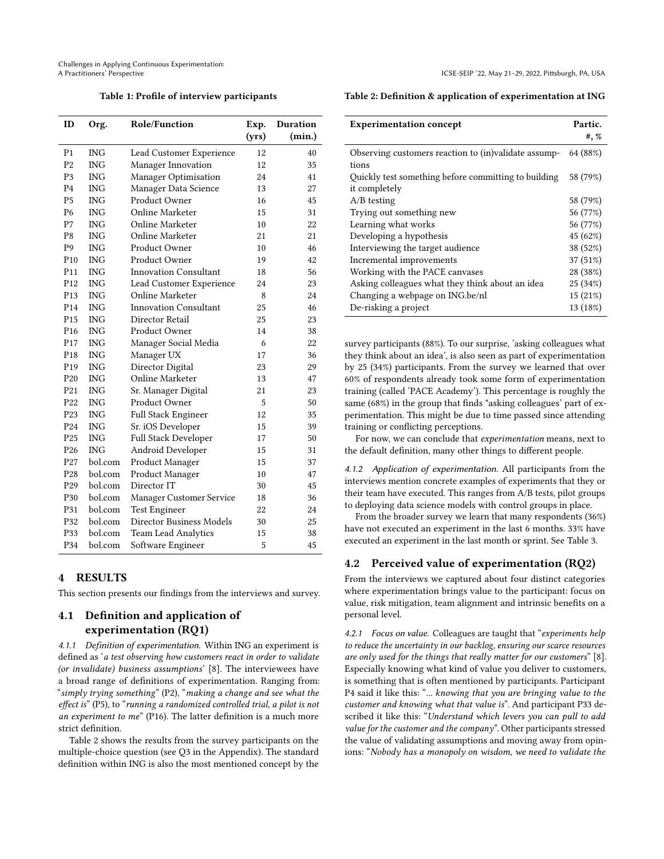<span id="page-2-1"></span>Challenges in Applying Continuous Experimentation:

Table 1: Profile of interview participants

| ID              | Org.       | <b>Role/Function</b>         | Exp.  | Duration |
|-----------------|------------|------------------------------|-------|----------|
|                 |            |                              | (yrs) | (min.)   |
| P <sub>1</sub>  | <b>ING</b> | Lead Customer Experience     | 12    | 40       |
| P <sub>2</sub>  | <b>ING</b> | Manager Innovation           | 12    | 35       |
| P <sub>3</sub>  | <b>ING</b> | <b>Manager Optimisation</b>  | 24    | 41       |
| P <sub>4</sub>  | <b>ING</b> | Manager Data Science         | 13    | 27       |
| <b>P5</b>       | <b>ING</b> | Product Owner                | 16    | 45       |
| P <sub>6</sub>  | <b>ING</b> | Online Marketer              | 15    | 31       |
| P7              | <b>ING</b> | Online Marketer              | 10    | 22       |
| P <sub>8</sub>  | <b>ING</b> | Online Marketer              | 21    | 21       |
| P <sub>9</sub>  | <b>ING</b> | Product Owner                | 10    | 46       |
| P <sub>10</sub> | <b>ING</b> | Product Owner                | 19    | 42       |
| P <sub>11</sub> | <b>ING</b> | <b>Innovation Consultant</b> | 18    | 56       |
| P <sub>12</sub> | <b>ING</b> | Lead Customer Experience     | 24    | 23       |
| P <sub>13</sub> | <b>ING</b> | Online Marketer              | 8     | 24       |
| P <sub>14</sub> | <b>ING</b> | Innovation Consultant        | 25    | 46       |
| P <sub>15</sub> | <b>ING</b> | Director Retail              | 25    | 23       |
| P <sub>16</sub> | <b>ING</b> | Product Owner                | 14    | 38       |
| P <sub>17</sub> | <b>ING</b> | Manager Social Media         | 6     | 22       |
| P <sub>18</sub> | <b>ING</b> | Manager UX                   | 17    | 36       |
| P <sub>19</sub> | <b>ING</b> | Director Digital             | 23    | 29       |
| P <sub>20</sub> | <b>ING</b> | <b>Online Marketer</b>       | 13    | 47       |
| P <sub>21</sub> | <b>ING</b> | Sr. Manager Digital          | 21    | 23       |
| P <sub>22</sub> | <b>ING</b> | Product Owner                | 5     | 50       |
| P <sub>23</sub> | <b>ING</b> | <b>Full Stack Engineer</b>   | 12    | 35       |
| P <sub>24</sub> | <b>ING</b> | Sr. iOS Developer            | 15    | 39       |
| P <sub>25</sub> | <b>ING</b> | Full Stack Developer         | 17    | 50       |
| P <sub>26</sub> | <b>ING</b> | Android Developer            | 15    | 31       |
| P <sub>27</sub> | bol.com    | Product Manager              | 15    | 37       |
| P <sub>28</sub> | bol.com    | Product Manager              | 10    | 47       |
| P <sub>29</sub> | bol.com    | Director IT                  | 30    | 45       |
| P30             | bol.com    | Manager Customer Service     | 18    | 36       |
| P31             | bol.com    | <b>Test Engineer</b>         | 22    | 24       |
| P32             | bol.com    | Director Business Models     | 30    | 25       |
| P33             | bol.com    | <b>Team Lead Analytics</b>   | 15    | 38       |
| P34             | bol.com    | Software Engineer            | 5     | 45       |

## <span id="page-2-0"></span>4 RESULTS

This section presents our findings from the interviews and survey.

# 4.1 Definition and application of experimentation (RQ1)

4.1.1 Definition of experimentation. Within ING an experiment is defined as 'a test observing how customers react in order to validate (or invalidate) business assumptions' [\[8\]](#page-6-13). The interviewees have a broad range of definitions of experimentation. Ranging from: "simply trying something" (P2), "making a change and see what the effect is" (P5), to "running a randomized controlled trial, a pilot is not an experiment to me" (P16). The latter definition is a much more strict definition.

Table 2 shows the results from the survey participants on the multiple-choice question (see Q3 in the Appendix). The standard definition within ING is also the most mentioned concept by the Table 2: Definition & application of experimentation at ING

| <b>Experimentation concept</b>                       | Partic.  |
|------------------------------------------------------|----------|
|                                                      | #,  %    |
| Observing customers reaction to (in)validate assump- | 64 (88%) |
| tions                                                |          |
| Quickly test something before committing to building | 58 (79%) |
| it completely                                        |          |
| $A/B$ testing                                        | 58 (79%) |
| Trying out something new                             | 56 (77%) |
| Learning what works                                  | 56 (77%) |
| Developing a hypothesis                              | 45 (62%) |
| Interviewing the target audience                     | 38 (52%) |
| Incremental improvements                             | 37 (51%) |
| Working with the PACE canvases                       | 28 (38%) |
| Asking colleagues what they think about an idea      | 25 (34%) |
| Changing a webpage on ING.be/nl                      | 15(21%)  |
| De-risking a project                                 | 13 (18%) |

survey participants (88%). To our surprise, 'asking colleagues what they think about an idea', is also seen as part of experimentation by 25 (34%) participants. From the survey we learned that over 60% of respondents already took some form of experimentation training (called 'PACE Academy'). This percentage is roughly the same (68%) in the group that finds "asking colleagues' part of experimentation. This might be due to time passed since attending training or conflicting perceptions.

For now, we can conclude that experimentation means, next to the default definition, many other things to different people.

4.1.2 Application of experimentation. All participants from the interviews mention concrete examples of experiments that they or their team have executed. This ranges from A/B tests, pilot groups to deploying data science models with control groups in place.

From the broader survey we learn that many respondents (36%) have not executed an experiment in the last 6 months. 33% have executed an experiment in the last month or sprint. See Table 3.

#### 4.2 Perceived value of experimentation (RQ2)

From the interviews we captured about four distinct categories where experimentation brings value to the participant: focus on value, risk mitigation, team alignment and intrinsic benefits on a personal level.

4.2.1 Focus on value. Colleagues are taught that "experiments help to reduce the uncertainty in our backlog, ensuring our scarce resources are only used for the things that really matter for our customers" [\[8\]](#page-6-13). Especially knowing what kind of value you deliver to customers, is something that is often mentioned by participants. Participant P4 said it like this: "... knowing that you are bringing value to the customer and knowing what that value is". And participant P33 described it like this: "Understand which levers you can pull to add value for the customer and the company". Other participants stressed the value of validating assumptions and moving away from opinions: "Nobody has a monopoly on wisdom, we need to validate the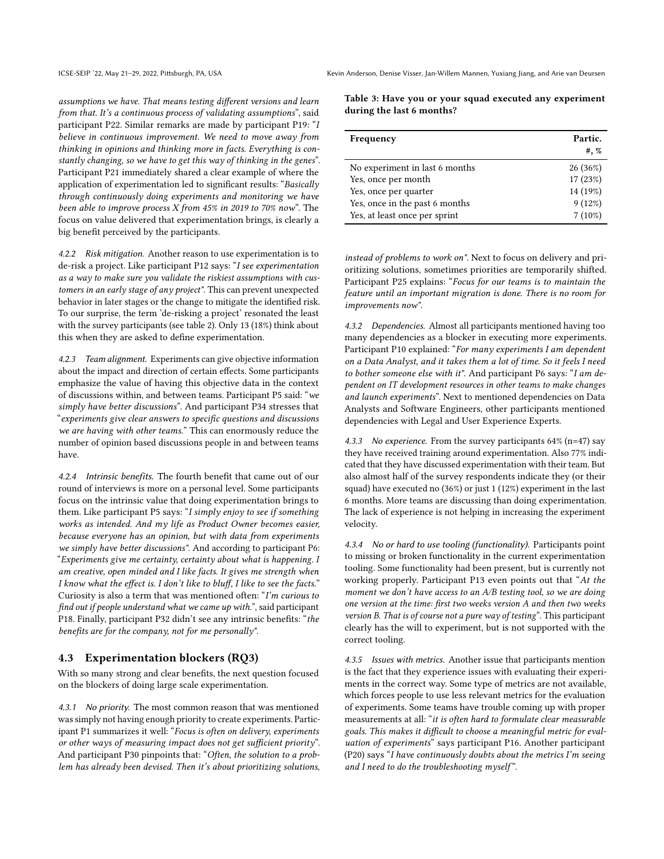assumptions we have. That means testing different versions and learn from that. It's a continuous process of validating assumptions", said participant P22. Similar remarks are made by participant P19: "I believe in continuous improvement. We need to move away from thinking in opinions and thinking more in facts. Everything is constantly changing, so we have to get this way of thinking in the genes". Participant P21 immediately shared a clear example of where the application of experimentation led to significant results: "Basically through continuously doing experiments and monitoring we have been able to improve process  $X$  from 45% in 2019 to 70% now". The focus on value delivered that experimentation brings, is clearly a big benefit perceived by the participants.

4.2.2 Risk mitigation. Another reason to use experimentation is to de-risk a project. Like participant P12 says: "I see experimentation as a way to make sure you validate the riskiest assumptions with customers in an early stage of any project". This can prevent unexpected behavior in later stages or the change to mitigate the identified risk. To our surprise, the term 'de-risking a project' resonated the least with the survey participants (see table 2). Only 13 (18%) think about this when they are asked to define experimentation.

4.2.3 Team alignment. Experiments can give objective information about the impact and direction of certain effects. Some participants emphasize the value of having this objective data in the context of discussions within, and between teams. Participant P5 said: "we simply have better discussions". And participant P34 stresses that "experiments give clear answers to specific questions and discussions we are having with other teams." This can enormously reduce the number of opinion based discussions people in and between teams have.

4.2.4 Intrinsic benefits. The fourth benefit that came out of our round of interviews is more on a personal level. Some participants focus on the intrinsic value that doing experimentation brings to them. Like participant P5 says: "I simply enjoy to see if something works as intended. And my life as Product Owner becomes easier, because everyone has an opinion, but with data from experiments we simply have better discussions". And according to participant P6: "Experiments give me certainty, certainty about what is happening. I am creative, open minded and I like facts. It gives me strength when I know what the effect is. I don't like to bluff, I like to see the facts." Curiosity is also a term that was mentioned often:  $I'm$  curious to find out if people understand what we came up with.", said participant P18. Finally, participant P32 didn't see any intrinsic benefits: "the benefits are for the company, not for me personally".

#### 4.3 Experimentation blockers (RQ3)

With so many strong and clear benefits, the next question focused on the blockers of doing large scale experimentation.

<span id="page-3-0"></span>4.3.1 No priority. The most common reason that was mentioned was simply not having enough priority to create experiments. Participant P1 summarizes it well: "Focus is often on delivery, experiments or other ways of measuring impact does not get sufficient priority". And participant P30 pinpoints that: "Often, the solution to a problem has already been devised. Then it's about prioritizing solutions,

| Table 3: Have you or your squad executed any experiment |  |  |
|---------------------------------------------------------|--|--|
| during the last 6 months?                               |  |  |

| Frequency                      | Partic.<br>#,  % |
|--------------------------------|------------------|
| No experiment in last 6 months | 26 (36%)         |
| Yes, once per month            | 17 (23%)         |
| Yes, once per quarter          | 14 (19%)         |
| Yes, once in the past 6 months | 9(12%)           |
| Yes, at least once per sprint  | $7(10\%)$        |

instead of problems to work on". Next to focus on delivery and prioritizing solutions, sometimes priorities are temporarily shifted. Participant P25 explains: "Focus for our teams is to maintain the feature until an important migration is done. There is no room for improvements now".

<span id="page-3-1"></span>4.3.2 Dependencies. Almost all participants mentioned having too many dependencies as a blocker in executing more experiments. Participant P10 explained: "For many experiments I am dependent on a Data Analyst, and it takes them a lot of time. So it feels I need to bother someone else with it". And participant P6 says: "I am dependent on IT development resources in other teams to make changes and launch experiments". Next to mentioned dependencies on Data Analysts and Software Engineers, other participants mentioned dependencies with Legal and User Experience Experts.

4.3.3 No experience. From the survey participants  $64\%$  (n=47) say they have received training around experimentation. Also 77% indicated that they have discussed experimentation with their team. But also almost half of the survey respondents indicate they (or their squad) have executed no (36%) or just 1 (12%) experiment in the last 6 months. More teams are discussing than doing experimentation. The lack of experience is not helping in increasing the experiment velocity.

4.3.4 No or hard to use tooling (functionality). Participants point to missing or broken functionality in the current experimentation tooling. Some functionality had been present, but is currently not working properly. Participant P13 even points out that "At the moment we don't have access to an A/B testing tool, so we are doing one version at the time: first two weeks version A and then two weeks version B. That is of course not a pure way of testing". This participant clearly has the will to experiment, but is not supported with the correct tooling.

4.3.5 Issues with metrics. Another issue that participants mention is the fact that they experience issues with evaluating their experiments in the correct way. Some type of metrics are not available, which forces people to use less relevant metrics for the evaluation of experiments. Some teams have trouble coming up with proper measurements at all: "it is often hard to formulate clear measurable goals. This makes it difficult to choose a meaningful metric for evaluation of experiments" says participant P16. Another participant (P20) says "I have continuously doubts about the metrics I'm seeing and I need to do the troubleshooting myself".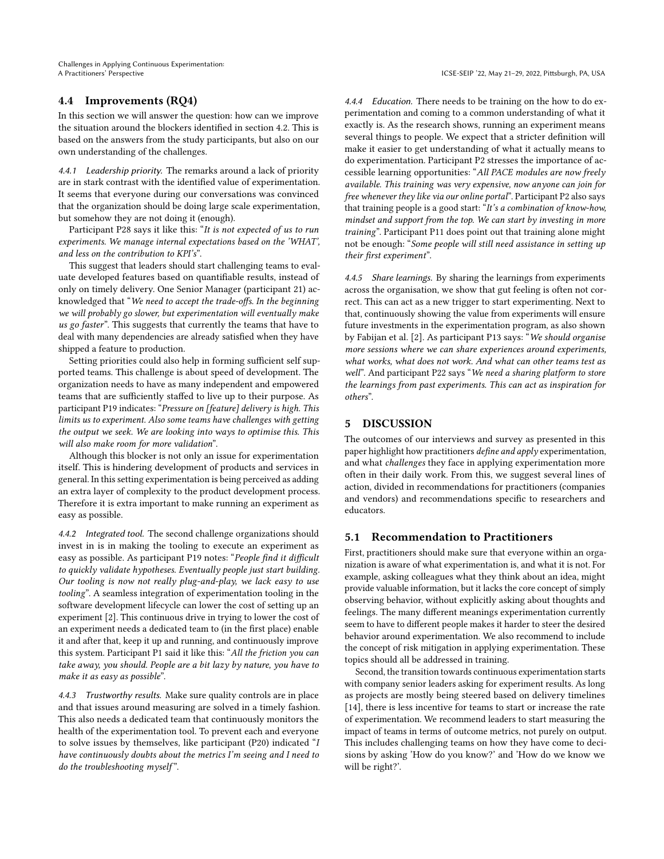## 4.4 Improvements (RQ4)

In this section we will answer the question: how can we improve the situation around the blockers identified in section 4.2. This is based on the answers from the study participants, but also on our own understanding of the challenges.

4.4.1 Leadership priority. The remarks around a lack of priority are in stark contrast with the identified value of experimentation. It seems that everyone during our conversations was convinced that the organization should be doing large scale experimentation, but somehow they are not doing it (enough).

Participant P28 says it like this: "It is not expected of us to run experiments. We manage internal expectations based on the 'WHAT', and less on the contribution to KPI's".

This suggest that leaders should start challenging teams to evaluate developed features based on quantifiable results, instead of only on timely delivery. One Senior Manager (participant 21) acknowledged that "We need to accept the trade-offs. In the beginning we will probably go slower, but experimentation will eventually make us go faster". This suggests that currently the teams that have to deal with many dependencies are already satisfied when they have shipped a feature to production.

Setting priorities could also help in forming sufficient self supported teams. This challenge is about speed of development. The organization needs to have as many independent and empowered teams that are sufficiently staffed to live up to their purpose. As participant P19 indicates: "Pressure on [feature] delivery is high. This limits us to experiment. Also some teams have challenges with getting the output we seek. We are looking into ways to optimise this. This will also make room for more validation".

Although this blocker is not only an issue for experimentation itself. This is hindering development of products and services in general. In this setting experimentation is being perceived as adding an extra layer of complexity to the product development process. Therefore it is extra important to make running an experiment as easy as possible.

4.4.2 Integrated tool. The second challenge organizations should invest in is in making the tooling to execute an experiment as easy as possible. As participant P19 notes: "People find it difficult to quickly validate hypotheses. Eventually people just start building. Our tooling is now not really plug-and-play, we lack easy to use tooling". A seamless integration of experimentation tooling in the software development lifecycle can lower the cost of setting up an experiment [\[2\]](#page-6-1). This continuous drive in trying to lower the cost of an experiment needs a dedicated team to (in the first place) enable it and after that, keep it up and running, and continuously improve this system. Participant P1 said it like this: "All the friction you can take away, you should. People are a bit lazy by nature, you have to make it as easy as possible".

4.4.3 Trustworthy results. Make sure quality controls are in place and that issues around measuring are solved in a timely fashion. This also needs a dedicated team that continuously monitors the health of the experimentation tool. To prevent each and everyone to solve issues by themselves, like participant (P20) indicated  $I$ have continuously doubts about the metrics I'm seeing and I need to do the troubleshooting myself".

4.4.4 Education. There needs to be training on the how to do experimentation and coming to a common understanding of what it exactly is. As the research shows, running an experiment means several things to people. We expect that a stricter definition will make it easier to get understanding of what it actually means to do experimentation. Participant P2 stresses the importance of accessible learning opportunities: "All PACE modules are now freely available. This training was very expensive, now anyone can join for free whenever they like via our online portal". Participant P2 also says that training people is a good start: "It's a combination of know-how, mindset and support from the top. We can start by investing in more training". Participant P11 does point out that training alone might not be enough: "Some people will still need assistance in setting up their first experiment".

4.4.5 Share learnings. By sharing the learnings from experiments across the organisation, we show that gut feeling is often not correct. This can act as a new trigger to start experimenting. Next to that, continuously showing the value from experiments will ensure future investments in the experimentation program, as also shown by Fabijan et al. [\[2\]](#page-6-1). As participant P13 says: "We should organise more sessions where we can share experiences around experiments, what works, what does not work. And what can other teams test as well". And participant P22 says "We need a sharing platform to store the learnings from past experiments. This can act as inspiration for others".

## <span id="page-4-0"></span>5 DISCUSSION

The outcomes of our interviews and survey as presented in this paper highlight how practitioners define and apply experimentation, and what challenges they face in applying experimentation more often in their daily work. From this, we suggest several lines of action, divided in recommendations for practitioners (companies and vendors) and recommendations specific to researchers and educators.

## 5.1 Recommendation to Practitioners

First, practitioners should make sure that everyone within an organization is aware of what experimentation is, and what it is not. For example, asking colleagues what they think about an idea, might provide valuable information, but it lacks the core concept of simply observing behavior, without explicitly asking about thoughts and feelings. The many different meanings experimentation currently seem to have to different people makes it harder to steer the desired behavior around experimentation. We also recommend to include the concept of risk mitigation in applying experimentation. These topics should all be addressed in training.

Second, the transition towards continuous experimentation starts with company senior leaders asking for experiment results. As long as projects are mostly being steered based on delivery timelines [\[14\]](#page-6-14), there is less incentive for teams to start or increase the rate of experimentation. We recommend leaders to start measuring the impact of teams in terms of outcome metrics, not purely on output. This includes challenging teams on how they have come to decisions by asking 'How do you know?' and 'How do we know we will be right?'.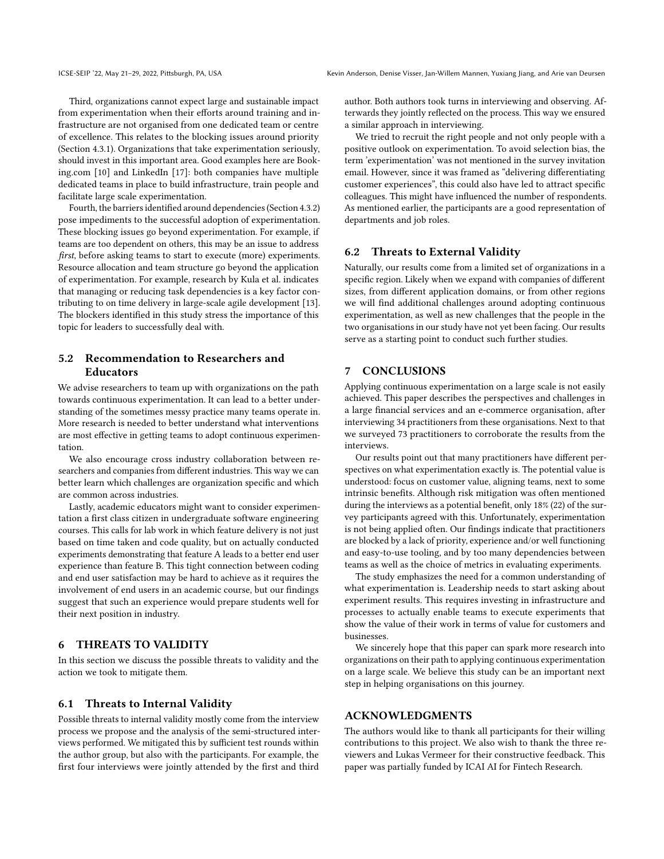Third, organizations cannot expect large and sustainable impact from experimentation when their efforts around training and infrastructure are not organised from one dedicated team or centre of excellence. This relates to the blocking issues around priority (Section [4.3.1\)](#page-3-0). Organizations that take experimentation seriously, should invest in this important area. Good examples here are Booking.com [\[10\]](#page-6-15) and LinkedIn [\[17\]](#page-6-16): both companies have multiple dedicated teams in place to build infrastructure, train people and facilitate large scale experimentation.

Fourth, the barriers identified around dependencies (Section [4.3.2\)](#page-3-1) pose impediments to the successful adoption of experimentation. These blocking issues go beyond experimentation. For example, if teams are too dependent on others, this may be an issue to address first, before asking teams to start to execute (more) experiments. Resource allocation and team structure go beyond the application of experimentation. For example, research by Kula et al. indicates that managing or reducing task dependencies is a key factor contributing to on time delivery in large-scale agile development [\[13\]](#page-6-17). The blockers identified in this study stress the importance of this topic for leaders to successfully deal with.

## 5.2 Recommendation to Researchers and Educators

We advise researchers to team up with organizations on the path towards continuous experimentation. It can lead to a better understanding of the sometimes messy practice many teams operate in. More research is needed to better understand what interventions are most effective in getting teams to adopt continuous experimentation.

We also encourage cross industry collaboration between researchers and companies from different industries. This way we can better learn which challenges are organization specific and which are common across industries.

Lastly, academic educators might want to consider experimentation a first class citizen in undergraduate software engineering courses. This calls for lab work in which feature delivery is not just based on time taken and code quality, but on actually conducted experiments demonstrating that feature A leads to a better end user experience than feature B. This tight connection between coding and end user satisfaction may be hard to achieve as it requires the involvement of end users in an academic course, but our findings suggest that such an experience would prepare students well for their next position in industry.

## <span id="page-5-0"></span>6 THREATS TO VALIDITY

In this section we discuss the possible threats to validity and the action we took to mitigate them.

#### 6.1 Threats to Internal Validity

Possible threats to internal validity mostly come from the interview process we propose and the analysis of the semi-structured interviews performed. We mitigated this by sufficient test rounds within the author group, but also with the participants. For example, the first four interviews were jointly attended by the first and third

author. Both authors took turns in interviewing and observing. Afterwards they jointly reflected on the process. This way we ensured a similar approach in interviewing.

We tried to recruit the right people and not only people with a positive outlook on experimentation. To avoid selection bias, the term 'experimentation' was not mentioned in the survey invitation email. However, since it was framed as "delivering differentiating customer experiences", this could also have led to attract specific colleagues. This might have influenced the number of respondents. As mentioned earlier, the participants are a good representation of departments and job roles.

#### 6.2 Threats to External Validity

Naturally, our results come from a limited set of organizations in a specific region. Likely when we expand with companies of different sizes, from different application domains, or from other regions we will find additional challenges around adopting continuous experimentation, as well as new challenges that the people in the two organisations in our study have not yet been facing. Our results serve as a starting point to conduct such further studies.

## <span id="page-5-1"></span>7 CONCLUSIONS

Applying continuous experimentation on a large scale is not easily achieved. This paper describes the perspectives and challenges in a large financial services and an e-commerce organisation, after interviewing 34 practitioners from these organisations. Next to that we surveyed 73 practitioners to corroborate the results from the interviews.

Our results point out that many practitioners have different perspectives on what experimentation exactly is. The potential value is understood: focus on customer value, aligning teams, next to some intrinsic benefits. Although risk mitigation was often mentioned during the interviews as a potential benefit, only 18% (22) of the survey participants agreed with this. Unfortunately, experimentation is not being applied often. Our findings indicate that practitioners are blocked by a lack of priority, experience and/or well functioning and easy-to-use tooling, and by too many dependencies between teams as well as the choice of metrics in evaluating experiments.

The study emphasizes the need for a common understanding of what experimentation is. Leadership needs to start asking about experiment results. This requires investing in infrastructure and processes to actually enable teams to execute experiments that show the value of their work in terms of value for customers and businesses.

We sincerely hope that this paper can spark more research into organizations on their path to applying continuous experimentation on a large scale. We believe this study can be an important next step in helping organisations on this journey.

## ACKNOWLEDGMENTS

The authors would like to thank all participants for their willing contributions to this project. We also wish to thank the three reviewers and Lukas Vermeer for their constructive feedback. This paper was partially funded by ICAI AI for Fintech Research.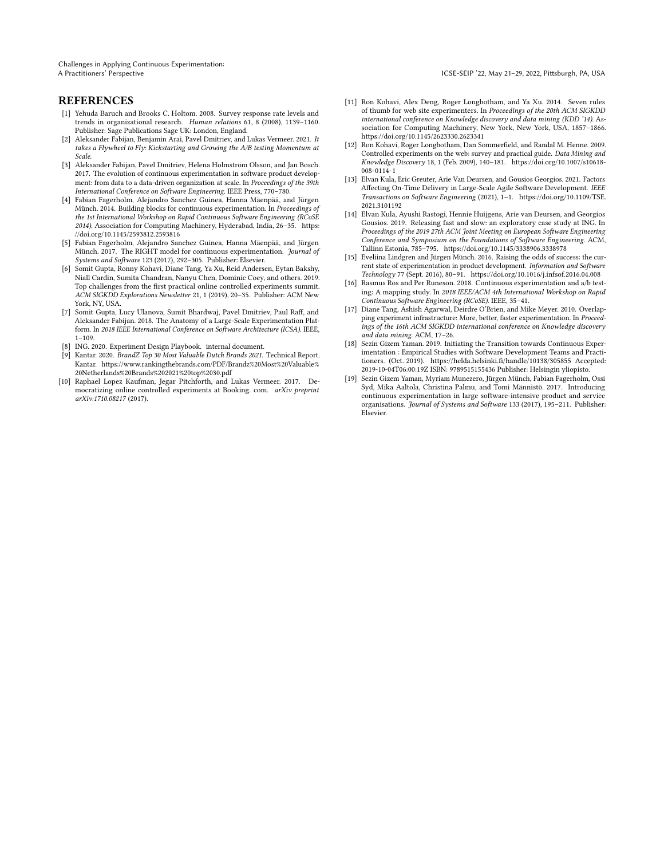Challenges in Applying Continuous Experimentation: A Practitioners' Perspective **ICSE-SEIP '22, May 21-29, 2022, Pittsburgh**, PA, USA

## **REFERENCES**

- <span id="page-6-12"></span>[1] Yehuda Baruch and Brooks C. Holtom. 2008. Survey response rate levels and trends in organizational research. Human relations 61, 8 (2008), 1139-1160. Publisher: Sage Publications Sage UK: London, England.
- <span id="page-6-1"></span>[2] Aleksander Fabijan, Benjamin Arai, Pavel Dmitriev, and Lukas Vermeer. 2021. It takes a Flywheel to Fly: Kickstarting and Growing the A/B testing Momentum at Scale.
- [3] Aleksander Fabijan, Pavel Dmitriev, Helena Holmström Olsson, and Jan Bosch. 2017. The evolution of continuous experimentation in software product development: from data to a data-driven organization at scale. In Proceedings of the 39th International Conference on Software Engineering. IEEE Press, 770-780.
- <span id="page-6-2"></span>[4] Fabian Fagerholm, Alejandro Sanchez Guinea, Hanna Mäenpää, and Jürgen Münch. 2014. Building blocks for continuous experimentation. In Proceedings of the 1st International Workshop on Rapid Continuous Software Engineering (RCoSE 2014). Association for Computing Machinery, Hyderabad, India, 26-35. [https:](https://doi.org/10.1145/2593812.2593816) [//doi.org/10.1145/2593812.2593816](https://doi.org/10.1145/2593812.2593816)
- <span id="page-6-7"></span>[5] Fabian Fagerholm, Alejandro Sanchez Guinea, Hanna Mäenpää, and Jürgen Münch. 2017. The RIGHT model for continuous experimentation. Journal of Systems and Software 123 (2017), 292-305. Publisher: Elsevier.
- <span id="page-6-0"></span>[6] Somit Gupta, Ronny Kohavi, Diane Tang, Ya Xu, Reid Andersen, Eytan Bakshy, Niall Cardin, Sumita Chandran, Nanyu Chen, Dominic Coey, and others. 2019. Top challenges from the first practical online controlled experiments summit. ACM SIGKDD Explorations Newsletter 21, 1 (2019), 20-35. Publisher: ACM New York, NY, USA.
- <span id="page-6-3"></span>[7] Somit Gupta, Lucy Ulanova, Sumit Bhardwaj, Pavel Dmitriev, Paul Raff, and Aleksander Fabijan. 2018. The Anatomy of a Large-Scale Experimentation Platform. In 2018 IEEE International Conference on Software Architecture (ICSA). IEEE,  $1 - 109.$
- <span id="page-6-13"></span>[8] ING. 2020. Experiment Design Playbook. internal document.
- <span id="page-6-4"></span>[9] Kantar. 2020. BrandZ Top 30 Most Valuable Dutch Brands 2021. Technical Report. Kantar. [https://www.rankingthebrands.com/PDF/Brandz%20Most%20Valuable%](https://www.rankingthebrands.com/PDF/Brandz%20Most%20Valuable%20Netherlands%20Brands%202021%20top%2030.pdf) [20Netherlands%20Brands%202021%20top%2030.pdf](https://www.rankingthebrands.com/PDF/Brandz%20Most%20Valuable%20Netherlands%20Brands%202021%20top%2030.pdf)
- <span id="page-6-15"></span>[10] Raphael Lopez Kaufman, Jegar Pitchforth, and Lukas Vermeer. 2017. Democratizing online controlled experiments at Booking. com. *arXiv preprint* arXiv:1710.08217 (2017).
- <span id="page-6-10"></span>[11] Ron Kohavi, Alex Deng, Roger Longbotham, and Ya Xu. 2014. Seven rules of thumb for web site experimenters. In Proceedings of the 20th ACM SIGKDD international conference on Knowledge discovery and data mining (KDD '14). Association for Computing Machinery, New York, New York, USA, 1857-1866. <https://doi.org/10.1145/2623330.2623341>
- <span id="page-6-11"></span>[12] Ron Kohavi, Roger Longbotham, Dan Sommerfield, and Randal M. Henne. 2009. Controlled experiments on the web: survey and practical guide. Data Mining and Knowledge Discovery 18, 1 (Feb. 2009), 140-181. [https://doi.org/10.1007/s10618-](https://doi.org/10.1007/s10618-008-0114-1)  $008 - 0114 - 1$
- <span id="page-6-17"></span>[13] Elvan Kula, Eric Greuter, Arie Van Deursen, and Gousios Georgios. 2021. Factors Affecting On-Time Delivery in Large-Scale Agile Software Development. IEEE Transactions on Software Engineering (2021), 1-1. [https://doi.org/10.1109/TSE.](https://doi.org/10.1109/TSE.2021.3101192) [2021.3101192](https://doi.org/10.1109/TSE.2021.3101192)
- <span id="page-6-14"></span>[14] Elvan Kula, Ayushi Rastogi, Hennie Huijgens, Arie van Deursen, and Georgios Gousios. 2019. Releasing fast and slow: an exploratory case study at ING. In Proceedings of the 2019 27th ACM Joint Meeting on European Software Engineering Conference and Symposium on the Foundations of Software Engineering. ACM, Tallinn Estonia, 785-795.<https://doi.org/10.1145/3338906.3338978>
- <span id="page-6-6"></span>[15] Eveliina Lindgren and Jürgen Münch. 2016. Raising the odds of success: the current state of experimentation in product development. Information and Software Technology 77 (Sept. 2016), 80-91.<https://doi.org/10.1016/j.infsof.2016.04.008>
- <span id="page-6-5"></span>[16] Rasmus Ros and Per Runeson. 2018. Continuous experimentation and a/b testing: A mapping study. In 2018 IEEE/ACM 4th International Workshop on Rapid Continuous Software Engineering (RCoSE). IEEE, 35-41.
- <span id="page-6-16"></span>[17] Diane Tang, Ashish Agarwal, Deirdre O'Brien, and Mike Meyer. 2010. Overlapping experiment infrastructure: More, better, faster experimentation. In Proceedings of the 16th ACM SIGKDD international conference on Knowledge discovery and data mining. ACM, 17-26.
- <span id="page-6-9"></span>[18] Sezin Gizem Yaman. 2019. Initiating the Transition towards Continuous Experimentation : Empirical Studies with Software Development Teams and Practitioners. (Oct. 2019).<https://helda.helsinki.fi/handle/10138/305855> Accepted: 2019-10-04T06:00:19Z ISBN: 9789515155436 Publisher: Helsingin yliopisto.
- <span id="page-6-8"></span>[19] Sezin Gizem Yaman, Myriam Munezero, Jürgen Münch, Fabian Fagerholm, Ossi Syd, Mika Aaltola, Christina Palmu, and Tomi Männistö. 2017. Introducing continuous experimentation in large software-intensive product and service organisations. Journal of Systems and Software 133 (2017), 195-211. Publisher: Elsevier.